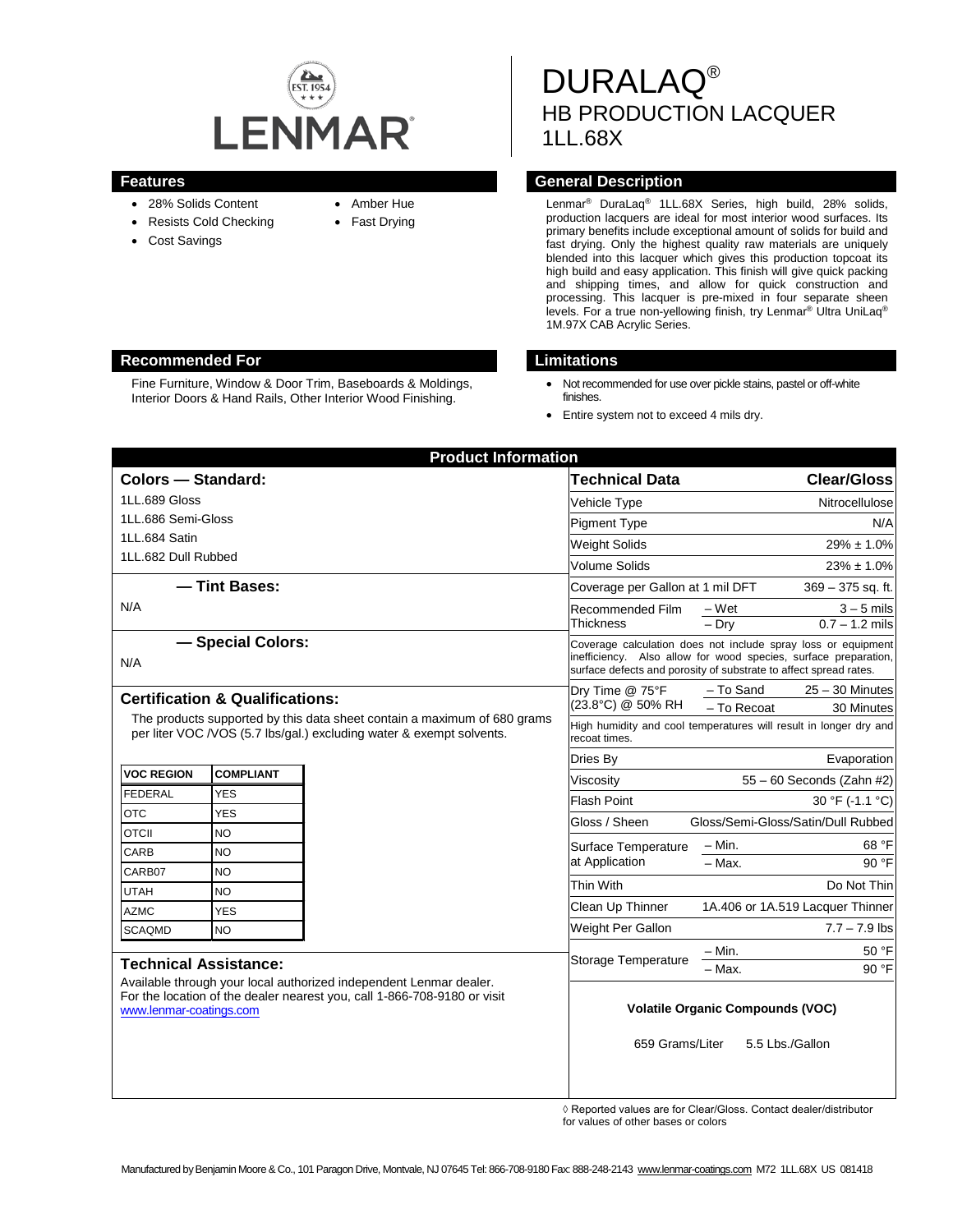

- 28% Solids Content
- Resists Cold Checking
- Cost Savings
- Amber Hue
- Fast Drying

# DURALAQ® HB PRODUCTION LACQUER 1LL.68X

# **Features General Description**

Lenmar® DuraLaq® 1LL.68X Series, high build, 28% solids, production lacquers are ideal for most interior wood surfaces. Its primary benefits include exceptional amount of solids for build and fast drying. Only the highest quality raw materials are uniquely blended into this lacquer which gives this production topcoat its high build and easy application. This finish will give quick packing and shipping times, and allow for quick construction and processing. This lacquer is pre-mixed in four separate sheen levels. For a true non-yellowing finish, try Lenmar® Ultra UniLaq® 1M.97X CAB Acrylic Series.

### **Recommended For Limitations**

Fine Furniture, Window & Door Trim, Baseboards & Moldings, Interior Doors & Hand Rails, Other Interior Wood Finishing.

- Not recommended for use over pickle stains, pastel or off-white finishes.
- Entire system not to exceed 4 mils dry.

| <b>Product Information</b>                                                                                                                                                                                |                  |  |                                                                                                                                                                                                       |                                    |                                  |
|-----------------------------------------------------------------------------------------------------------------------------------------------------------------------------------------------------------|------------------|--|-------------------------------------------------------------------------------------------------------------------------------------------------------------------------------------------------------|------------------------------------|----------------------------------|
| <b>Colors - Standard:</b>                                                                                                                                                                                 |                  |  | <b>Technical Data</b>                                                                                                                                                                                 |                                    | <b>Clear/Gloss</b>               |
| 1LL.689 Gloss                                                                                                                                                                                             |                  |  | Vehicle Type                                                                                                                                                                                          |                                    | Nitrocellulose                   |
| 1LL.686 Semi-Gloss                                                                                                                                                                                        |                  |  | <b>Pigment Type</b>                                                                                                                                                                                   |                                    | N/A                              |
| 1LL.684 Satin                                                                                                                                                                                             |                  |  | Weight Solids                                                                                                                                                                                         |                                    | $29\% \pm 1.0\%$                 |
| 1LL.682 Dull Rubbed                                                                                                                                                                                       |                  |  | <b>Volume Solids</b>                                                                                                                                                                                  |                                    | $23\% \pm 1.0\%$                 |
| - Tint Bases:                                                                                                                                                                                             |                  |  | Coverage per Gallon at 1 mil DFT                                                                                                                                                                      |                                    | $369 - 375$ sq. ft.              |
| N/A                                                                                                                                                                                                       |                  |  | Recommended Film<br><b>Thickness</b>                                                                                                                                                                  | – Wet                              | $3 - 5$ mils                     |
|                                                                                                                                                                                                           |                  |  |                                                                                                                                                                                                       | $-$ Drv                            | $0.7 - 1.2$ mils                 |
| - Special Colors:<br>N/A                                                                                                                                                                                  |                  |  | Coverage calculation does not include spray loss or equipment<br>inefficiency. Also allow for wood species, surface preparation,<br>surface defects and porosity of substrate to affect spread rates. |                                    |                                  |
| <b>Certification &amp; Qualifications:</b><br>The products supported by this data sheet contain a maximum of 680 grams<br>per liter VOC /VOS (5.7 lbs/gal.) excluding water & exempt solvents.            |                  |  | Dry Time @ 75°F<br>(23.8°C) @ 50% RH                                                                                                                                                                  | - To Sand                          | $25 - 30$ Minutes                |
|                                                                                                                                                                                                           |                  |  |                                                                                                                                                                                                       | - To Recoat                        | 30 Minutes                       |
|                                                                                                                                                                                                           |                  |  | High humidity and cool temperatures will result in longer dry and<br>recoat times.                                                                                                                    |                                    |                                  |
|                                                                                                                                                                                                           |                  |  | Dries By                                                                                                                                                                                              |                                    | Evaporation                      |
| <b>VOC REGION</b>                                                                                                                                                                                         | <b>COMPLIANT</b> |  | Viscosity                                                                                                                                                                                             |                                    | 55 - 60 Seconds (Zahn #2)        |
| <b>FEDERAL</b>                                                                                                                                                                                            | <b>YES</b>       |  | <b>Flash Point</b>                                                                                                                                                                                    |                                    | 30 °F (-1.1 °C)                  |
| <b>OTC</b>                                                                                                                                                                                                | <b>YES</b>       |  | Gloss / Sheen                                                                                                                                                                                         | Gloss/Semi-Gloss/Satin/Dull Rubbed |                                  |
| <b>OTCII</b>                                                                                                                                                                                              | <b>NO</b>        |  | Surface Temperature<br>at Application                                                                                                                                                                 | $- Min.$                           | 68 °F                            |
| CARB<br>CARB07                                                                                                                                                                                            | <b>NO</b>        |  |                                                                                                                                                                                                       | $-$ Max.                           | 90 °F                            |
| <b>UTAH</b>                                                                                                                                                                                               | <b>NO</b><br>NO  |  | Thin With                                                                                                                                                                                             |                                    | Do Not Thin                      |
| <b>AZMC</b>                                                                                                                                                                                               | <b>YES</b>       |  | Clean Up Thinner                                                                                                                                                                                      |                                    | 1A.406 or 1A.519 Lacquer Thinner |
| <b>SCAQMD</b>                                                                                                                                                                                             | <b>NO</b>        |  | Weight Per Gallon                                                                                                                                                                                     |                                    | $7.7 - 7.9$ lbs                  |
|                                                                                                                                                                                                           |                  |  |                                                                                                                                                                                                       | $- Min.$                           | 50 °F                            |
| <b>Technical Assistance:</b><br>Available through your local authorized independent Lenmar dealer.<br>For the location of the dealer nearest you, call 1-866-708-9180 or visit<br>www.lenmar-coatings.com |                  |  | Storage Temperature                                                                                                                                                                                   | $-$ Max.                           | 90 °F                            |
|                                                                                                                                                                                                           |                  |  | <b>Volatile Organic Compounds (VOC)</b><br>659 Grams/Liter<br>5.5 Lbs./Gallon                                                                                                                         |                                    |                                  |

◊ Reported values are for Clear/Gloss. Contact dealer/distributor for values of other bases or colors